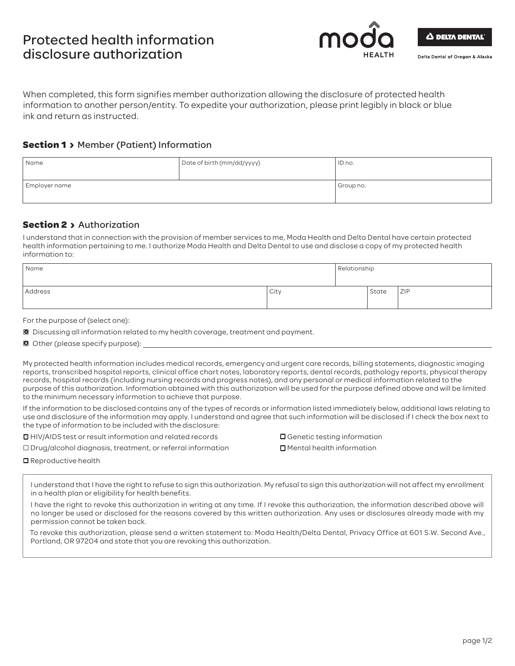# Protected health information disclosure authorization



Delta Dental of Oregon & Alaska

When completed, this form signifies member authorization allowing the disclosure of protected health information to another person/entity. To expedite your authorization, please print legibly in black or blue ink and return as instructed.

### **Section 1** > Member (Patient) Information

| Name          | Date of birth (mm/dd/yyyy) | ID no.    |
|---------------|----------------------------|-----------|
| Employer name |                            | Group no. |

## **Section 2 > Authorization**

I understand that in connection with the provision of member services to me, Moda Health and Delta Dental have certain protected health information pertaining to me. I authorize Moda Health and Delta Dental to use and disclose a copy of my protected health information to:

| Name    |      | Relationship |       |     |
|---------|------|--------------|-------|-----|
| Address | City |              | State | ZIP |

For the purpose of (select one):

Ƨ Discussing all information related to my health coverage, treatment and payment.

**■** Other (please specify purpose):

My protected health information includes medical records, emergency and urgent care records, billing statements, diagnostic imaging reports, transcribed hospital reports, clinical office chart notes, laboratory reports, dental records, pathology reports, physical therapy records, hospital records (including nursing records and progress notes), and any personal or medical information related to the purpose of this authorization. Information obtained with this authorization will be used for the purpose defined above and will be limited to the minimum necessary information to achieve that purpose.

If the information to be disclosed contains any of the types of records or information listed immediately below, additional laws relating to use and disclosure of the information may apply. I understand and agree that such information will be disclosed if I check the box next to the type of information to be included with the disclosure:

 $\Box$  HIV/AIDS test or result information and related records

| $\Box$ Drug/alcohol diagnosis, treatment, or referral information |  |  |
|-------------------------------------------------------------------|--|--|
|                                                                   |  |  |

 $\Box$  Mental health information

**□** Reproductive health

I understand that I have the right to refuse to sign this authorization. My refusal to sign this authorization will not affect my enrollment in a health plan or eligibility for health benefits.

I have the right to revoke this authorization in writing at any time. If I revoke this authorization, the information described above will no longer be used or disclosed for the reasons covered by this written authorization. Any uses or disclosures already made with my permission cannot be taken back.

To revoke this authorization, please send a written statement to: Moda Health/Delta Dental, Privacy Office at 601 S.W. Second Ave., Portland, OR 97204 and state that you are revoking this authorization.